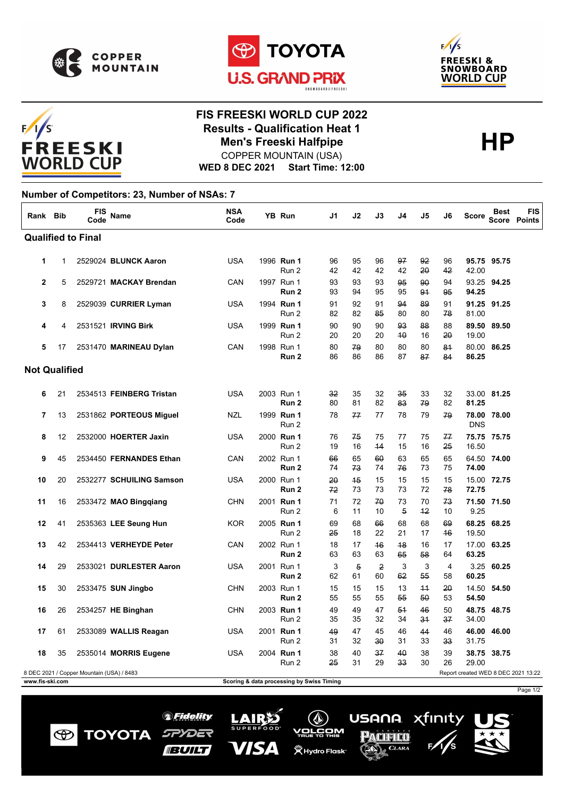

 $F/1/S$ 

**FREESKI WORLD CUP** 





## **FIS FREESKI WORLD CUP 2022 Results - Qualification Heat 1**<br>Men's Freeski Halfpipe<br>**HP** COPPER MOUNTAIN (USA) **Men's Freeski Halfpipe**

Page 1/2

xfinity

**USANA** 

PACIFICO

 $_{\mathbb{A}}$  CLARA

 $(\mathbb{Q})$ v<u>orčo</u>m

**义 Hydro Flask**\*

**WED 8 DEC 2021 Start Time: 12:00**

## **Number of Competitors: 23, Number of NSAs: 7**

| Rank Bib                                                                         |    | <b>FIS</b><br>Code | Name                     | <b>NSA</b><br>Code |  | YB Run              | J1                                        | J2                   | J3                   | J4                   | J5         | J6                   | <b>Score</b>        | <b>Best</b> | <b>FIS</b><br><b>Score Points</b> |
|----------------------------------------------------------------------------------|----|--------------------|--------------------------|--------------------|--|---------------------|-------------------------------------------|----------------------|----------------------|----------------------|------------|----------------------|---------------------|-------------|-----------------------------------|
| <b>Qualified to Final</b>                                                        |    |                    |                          |                    |  |                     |                                           |                      |                      |                      |            |                      |                     |             |                                   |
| 1                                                                                | 1  |                    | 2529024 BLUNCK Aaron     | <b>USA</b>         |  | 1996 Run 1<br>Run 2 | 96<br>42                                  | 95<br>42             | 96<br>42             | 97<br>42             | 92<br>20   | 96<br>42             | 42.00               | 95.75 95.75 |                                   |
| $\mathbf{2}$                                                                     | 5  |                    | 2529721 MACKAY Brendan   | CAN                |  | 1997 Run 1<br>Run 2 | 93<br>93                                  | 93<br>94             | 93<br>95             | 95<br>95             | 90<br>91   | 94<br>95             | 94.25               | 93.25 94.25 |                                   |
| 3                                                                                | 8  |                    | 2529039 CURRIER Lyman    | USA                |  | 1994 Run 1<br>Run 2 | 91<br>82                                  | 92<br>82             | 91<br>85             | 94<br>80             | 89<br>80   | 91<br>78             | 81.00               | 91.25 91.25 |                                   |
| 4                                                                                | 4  |                    | 2531521 IRVING Birk      | <b>USA</b>         |  | 1999 Run 1<br>Run 2 | 90<br>20                                  | 90<br>20             | 90<br>20             | 93<br>40             | 88<br>16   | 88<br>20             | 89.50<br>19.00      | 89.50       |                                   |
| 5                                                                                | 17 |                    | 2531470 MARINEAU Dylan   | CAN                |  | 1998 Run 1<br>Run 2 | 80<br>86                                  | 79<br>86             | 80<br>86             | 80<br>87             | 80<br>87   | 84<br>84             | 86.25               | 80.00 86.25 |                                   |
| <b>Not Qualified</b>                                                             |    |                    |                          |                    |  |                     |                                           |                      |                      |                      |            |                      |                     |             |                                   |
| 6                                                                                | 21 |                    | 2534513 FEINBERG Tristan | <b>USA</b>         |  | 2003 Run 1<br>Run 2 | 32<br>80                                  | 35<br>81             | 32<br>82             | 35<br>83             | 33<br>79   | 32<br>82             | 81.25               | 33.00 81.25 |                                   |
| 7                                                                                | 13 |                    | 2531862 PORTEOUS Miguel  | NZL                |  | 1999 Run 1<br>Run 2 | 78                                        | 77                   | 77                   | 78                   | 79         | 79                   | <b>DNS</b>          | 78.00 78.00 |                                   |
| 8                                                                                | 12 |                    | 2532000 HOERTER Jaxin    | USA                |  | 2000 Run 1<br>Run 2 | 76<br>19                                  | 75<br>16             | 75<br>44             | 77<br>15             | 75<br>16   | 77<br>25             | 16.50               | 75.75 75.75 |                                   |
| 9                                                                                | 45 |                    | 2534450 FERNANDES Ethan  | CAN                |  | 2002 Run 1<br>Run 2 | 66<br>74                                  | 65<br>73             | 60<br>74             | 63<br>76             | 65<br>73   | 65<br>75             | 74.00               | 64.50 74.00 |                                   |
| 10                                                                               | 20 |                    | 2532277 SCHUILING Samson | <b>USA</b>         |  | 2000 Run 1<br>Run 2 | 20<br>72                                  | 45<br>73             | 15<br>73             | 15<br>73             | 15<br>72   | 15<br>78             | 72.75               | 15.00 72.75 |                                   |
| 11                                                                               | 16 |                    | 2533472 MAO Bingqiang    | CHN                |  | 2001 Run 1<br>Run 2 | 71<br>6                                   | 72<br>11             | 70<br>10             | 73<br>$\overline{5}$ | 70<br>$+2$ | 73<br>10             | 71.50 71.50<br>9.25 |             |                                   |
| 12                                                                               | 41 |                    | 2535363 LEE Seung Hun    | <b>KOR</b>         |  | 2005 Run 1<br>Run 2 | 69<br>25                                  | 68<br>18             | 66<br>22             | 68<br>21             | 68<br>17   | 69<br>46             | 19.50               | 68.25 68.25 |                                   |
| 13                                                                               | 42 |                    | 2534413 VERHEYDE Peter   | CAN                |  | 2002 Run 1<br>Run 2 | 18<br>63                                  | 17<br>63             | 46<br>63             | 48<br>65             | 16<br>58   | 17<br>64             | 63.25               | 17.00 63.25 |                                   |
| 14                                                                               | 29 |                    | 2533021 DURLESTER Aaron  | USA                |  | 2001 Run 1<br>Run 2 | 3<br>62                                   | $\overline{5}$<br>61 | $\overline{2}$<br>60 | 3<br>62              | 3<br>55    | $\overline{4}$<br>58 | 60.25               | 3.25 60.25  |                                   |
| 15                                                                               | 30 |                    | 2533475 SUN Jingbo       | <b>CHN</b>         |  | 2003 Run 1<br>Run 2 | 15<br>55                                  | 15<br>55             | 15<br>55             | 13<br>55             | 44<br>50   | 20<br>53             | 14.50<br>54.50      | 54.50       |                                   |
| 16                                                                               | 26 |                    | 2534257 HE Binghan       | <b>CHN</b>         |  | 2003 Run 1<br>Run 2 | 49<br>35                                  | 49<br>35             | 47<br>32             | 54<br>34             | 46<br>34   | 50<br>37             | 34.00               | 48.75 48.75 |                                   |
| 17                                                                               | 61 |                    | 2533089 WALLIS Reagan    | USA                |  | 2001 Run 1<br>Run 2 | 49<br>31                                  | 47<br>32             | 45<br>30             | 46<br>31             | 44<br>33   | 46<br>33             | 31.75               | 46.00 46.00 |                                   |
| 18                                                                               | 35 |                    | 2535014 MORRIS Eugene    | <b>USA</b>         |  | 2004 Run 1<br>Run 2 | 38<br>25                                  | 40<br>31             | 37<br>29             | 40<br>33             | 38<br>30   | 39<br>26             | 29.00               | 38.75 38.75 |                                   |
| 8 DEC 2021 / Copper Mountain (USA) / 8483<br>Report created WED 8 DEC 2021 13:22 |    |                    |                          |                    |  |                     |                                           |                      |                      |                      |            |                      |                     |             |                                   |
| www.fis-ski.com                                                                  |    |                    |                          |                    |  |                     | Scoring & data processing by Swiss Timing |                      |                      |                      |            |                      |                     |             |                                   |

*SFidelity* 

SPYDER

**BUILT** 

**TOYOTA** 

 $\bigcirc$ 

LAIRS

VISA